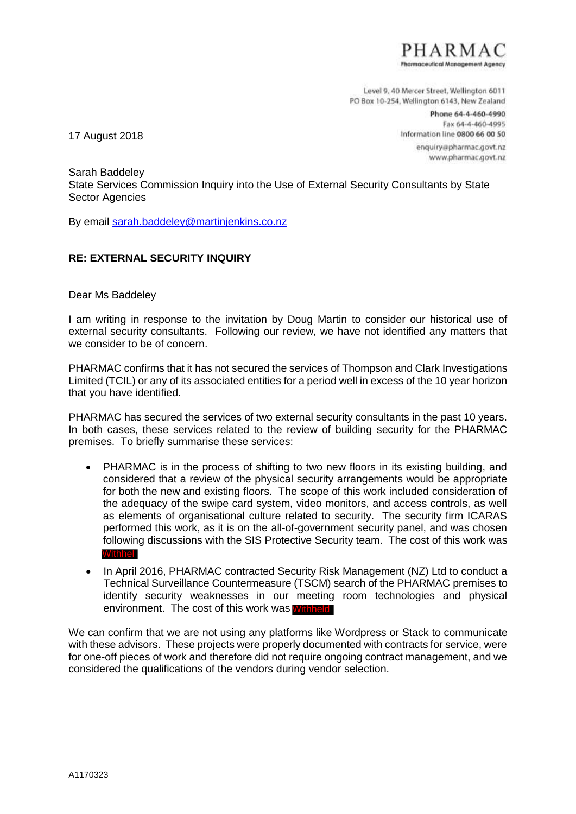

Level 9, 40 Mercer Street, Wellington 6011 PO Box 10-254, Wellington 6143, New Zealand

> Phone 64-4-460-4990 Fax 64-4-460-4995 Information line 0800 66 00 50

> > enquiry@pharmac.govt.nz www.pharmac.govt.nz

17 August 2018

Sarah Baddeley State Services Commission Inquiry into the Use of External Security Consultants by State Sector Agencies

By email sarah.baddeley@martinjenkins.co.nz

## **RE: EXTERNAL SECURITY INQUIRY**

Dear Ms Baddeley

I am writing in response to the invitation by Doug Martin to consider our historical use of external security consultants. Following our review, we have not identified any matters that we consider to be of concern.

PHARMAC confirms that it has not secured the services of Thompson and Clark Investigations Limited (TCIL) or any of its associated entities for a period well in excess of the 10 year horizon that you have identified.

PHARMAC has secured the services of two external security consultants in the past 10 years. In both cases, these services related to the review of building security for the PHARMAC premises. To briefly summarise these services:

- PHARMAC is in the process of shifting to two new floors in its existing building, and considered that a review of the physical security arrangements would be appropriate for both the new and existing floors. The scope of this work included consideration of the adequacy of the swipe card system, video monitors, and access controls, as well as elements of organisational culture related to security. The security firm ICARAS performed this work, as it is on the all-of-government security panel, and was chosen following discussions with the SIS Protective Security team. The cost of this work was **Withh**
- In April 2016, PHARMAC contracted Security Risk Management (NZ) Ltd to conduct a Technical Surveillance Countermeasure (TSCM) search of the PHARMAC premises to identify security weaknesses in our meeting room technologies and physical environment. The cost of this work was **Withheld**

We can confirm that we are not using any platforms like Wordpress or Stack to communicate with these advisors. These projects were properly documented with contracts for service, were for one-off pieces of work and therefore did not require ongoing contract management, and we considered the qualifications of the vendors during vendor selection. U